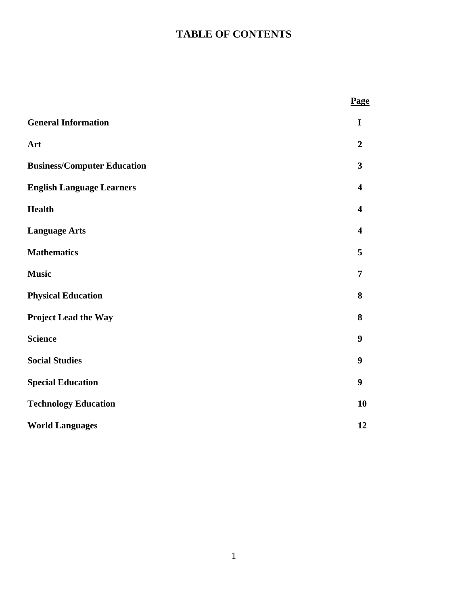# **TABLE OF CONTENTS**

|                                    | Page                    |
|------------------------------------|-------------------------|
| <b>General Information</b>         | I                       |
| Art                                | $\overline{2}$          |
| <b>Business/Computer Education</b> | $\overline{\mathbf{3}}$ |
| <b>English Language Learners</b>   | $\overline{\mathbf{4}}$ |
| <b>Health</b>                      | $\overline{\mathbf{4}}$ |
| <b>Language Arts</b>               | $\overline{\mathbf{4}}$ |
| <b>Mathematics</b>                 | 5                       |
| <b>Music</b>                       | $\overline{7}$          |
| <b>Physical Education</b>          | 8                       |
| <b>Project Lead the Way</b>        | 8                       |
| <b>Science</b>                     | 9                       |
| <b>Social Studies</b>              | 9                       |
| <b>Special Education</b>           | 9                       |
| <b>Technology Education</b>        | 10                      |
| <b>World Languages</b>             | 12                      |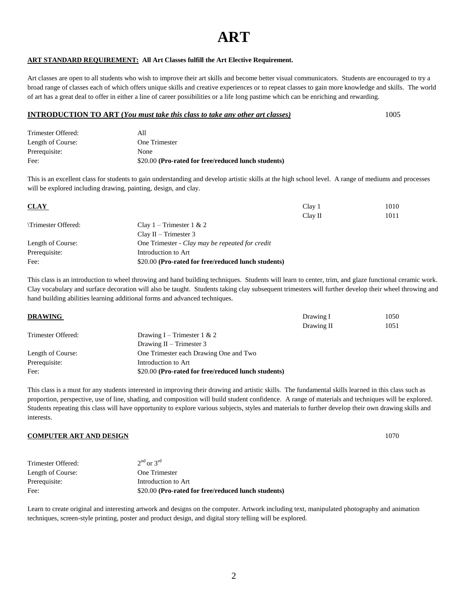# **ART**

## **ART STANDARD REQUIREMENT: All Art Classes fulfill the Art Elective Requirement.**

Art classes are open to all students who wish to improve their art skills and become better visual communicators. Students are encouraged to try a broad range of classes each of which offers unique skills and creative experiences or to repeat classes to gain more knowledge and skills. The world of art has a great deal to offer in either a line of career possibilities or a life long pastime which can be enriching and rewarding.

### **INTRODUCTION TO ART (***You must take this class to take any other art classes)* 1005

| Trimester Offered: | AII                                                 |
|--------------------|-----------------------------------------------------|
| Length of Course:  | One Trimester                                       |
| Prerequisite:      | None                                                |
| Fee:               | \$20.00 (Pro-rated for free/reduced lunch students) |

This is an excellent class for students to gain understanding and develop artistic skills at the high school level. A range of mediums and processes will be explored including drawing, painting, design, and clay.

| <b>CLAY</b>        |                                                     | Clay 1  | 1010 |
|--------------------|-----------------------------------------------------|---------|------|
|                    |                                                     | Clav II | 1011 |
| Trimester Offered: | Clay 1 – Trimester 1 & 2                            |         |      |
|                    | $Clav II - Trimester 3$                             |         |      |
| Length of Course:  | One Trimester - Clay may be repeated for credit     |         |      |
| Prerequisite:      | Introduction to Art                                 |         |      |
| Fee:               | \$20.00 (Pro-rated for free/reduced lunch students) |         |      |

This class is an introduction to wheel throwing and hand building techniques. Students will learn to center, trim, and glaze functional ceramic work. Clay vocabulary and surface decoration will also be taught. Students taking clay subsequent trimesters will further develop their wheel throwing and hand building abilities learning additional forms and advanced techniques.

|                                                     | Drawing I  | 1050 |
|-----------------------------------------------------|------------|------|
|                                                     | Drawing II | 1051 |
| Drawing I – Trimester 1 & 2                         |            |      |
| Drawing $II$ – Trimester 3                          |            |      |
| One Trimester each Drawing One and Two              |            |      |
| Introduction to Art                                 |            |      |
| \$20.00 (Pro-rated for free/reduced lunch students) |            |      |
|                                                     |            |      |

This class is a must for any students interested in improving their drawing and artistic skills. The fundamental skills learned in this class such as proportion, perspective, use of line, shading, and composition will build student confidence. A range of materials and techniques will be explored. Students repeating this class will have opportunity to explore various subjects, styles and materials to further develop their own drawing skills and interests.

#### **COMPUTER ART AND DESIGN** 1070

| Trimester Offered: | $2nd$ or $3rd$                                      |
|--------------------|-----------------------------------------------------|
| Length of Course:  | One Trimester                                       |
| Prerequisite:      | Introduction to Art                                 |
| Fee:               | \$20.00 (Pro-rated for free/reduced lunch students) |

Learn to create original and interesting artwork and designs on the computer. Artwork including text, manipulated photography and animation techniques, screen-style printing, poster and product design, and digital story telling will be explored.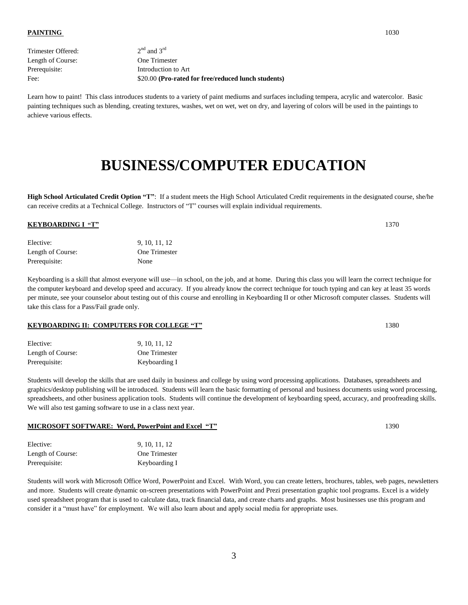| $2nd$ and $3rd$                                     |
|-----------------------------------------------------|
| One Trimester                                       |
| Introduction to Art                                 |
| \$20.00 (Pro-rated for free/reduced lunch students) |
|                                                     |

Learn how to paint! This class introduces students to a variety of paint mediums and surfaces including tempera, acrylic and watercolor. Basic painting techniques such as blending, creating textures, washes, wet on wet, wet on dry, and layering of colors will be used in the paintings to achieve various effects.

# **BUSINESS/COMPUTER EDUCATION**

**High School Articulated Credit Option "T"**: If a student meets the High School Articulated Credit requirements in the designated course, she/he can receive credits at a Technical College. Instructors of "T" courses will explain individual requirements.

## **KEYBOARDING I**<sup>**"T"</sup> 1370</sup>**

| Elective:         | 9, 10, 11, 12 |
|-------------------|---------------|
| Length of Course: | One Trimester |
| Prerequisite:     | None          |

Keyboarding is a skill that almost everyone will use—in school, on the job, and at home. During this class you will learn the correct technique for the computer keyboard and develop speed and accuracy. If you already know the correct technique for touch typing and can key at least 35 words per minute, see your counselor about testing out of this course and enrolling in Keyboarding II or other Microsoft computer classes. Students will take this class for a Pass/Fail grade only.

### **KEYBOARDING II: COMPUTERS FOR COLLEGE "T"** 1380

| Elective:         | 9, 10, 11, 12 |
|-------------------|---------------|
| Length of Course: | One Trimester |
| Prerequisite:     | Keyboarding I |

Students will develop the skills that are used daily in business and college by using word processing applications. Databases, spreadsheets and graphics/desktop publishing will be introduced. Students will learn the basic formatting of personal and business documents using word processing, spreadsheets, and other business application tools. Students will continue the development of keyboarding speed, accuracy, and proofreading skills. We will also test gaming software to use in a class next year.

### **MICROSOFT SOFTWARE: Word, PowerPoint and Excel "T"** 1390

| Elective:         | 9, 10, 11, 12        |
|-------------------|----------------------|
| Length of Course: | <b>One Trimester</b> |
| Prerequisite:     | Keyboarding I        |

Students will work with Microsoft Office Word, PowerPoint and Excel. With Word, you can create letters, brochures, tables, web pages, newsletters and more. Students will create dynamic on-screen presentations with PowerPoint and Prezi presentation graphic tool programs. Excel is a widely used spreadsheet program that is used to calculate data, track financial data, and create charts and graphs. Most businesses use this program and consider it a "must have" for employment. We will also learn about and apply social media for appropriate uses.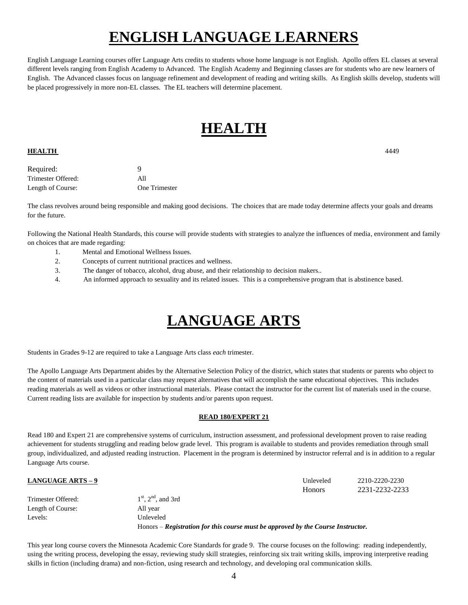# **ENGLISH LANGUAGE LEARNERS**

English Language Learning courses offer Language Arts credits to students whose home language is not English. Apollo offers EL classes at several different levels ranging from English Academy to Advanced. The English Academy and Beginning classes are for students who are new learners of English. The Advanced classes focus on language refinement and development of reading and writing skills. As English skills develop, students will be placed progressively in more non-EL classes. The EL teachers will determine placement.

# **HEALTH**

# **HEALTH** 4449

Required: 9 Trimester Offered: All Length of Course: One Trimester

The class revolves around being responsible and making good decisions. The choices that are made today determine affects your goals and dreams for the future.

Following the National Health Standards, this course will provide students with strategies to analyze the influences of media, environment and family on choices that are made regarding:

- 1. Mental and Emotional Wellness Issues.
- 2. Concepts of current nutritional practices and wellness.
- 3. The danger of tobacco, alcohol, drug abuse, and their relationship to decision makers..
- 4. An informed approach to sexuality and its related issues. This is a comprehensive program that is abstinence based.

# **LANGUAGE ARTS**

Students in Grades 9-12 are required to take a Language Arts class *each* trimester.

The Apollo Language Arts Department abides by the Alternative Selection Policy of the district, which states that students or parents who object to the content of materials used in a particular class may request alternatives that will accomplish the same educational objectives. This includes reading materials as well as videos or other instructional materials. Please contact the instructor for the current list of materials used in the course. Current reading lists are available for inspection by students and/or parents upon request.

# **READ 180/EXPERT 21**

Read 180 and Expert 21 are comprehensive systems of curriculum, instruction assessment, and professional development proven to raise reading achievement for students struggling and reading below grade level. This program is available to students and provides remediation through small group, individualized, and adjusted reading instruction. Placement in the program is determined by instructor referral and is in addition to a regular Language Arts course.

| <b>LANGUAGE ARTS - 9</b> |                                                                                  | Unleveled     | 2210-2220-2230 |
|--------------------------|----------------------------------------------------------------------------------|---------------|----------------|
|                          |                                                                                  | <b>Honors</b> | 2231-2232-2233 |
| Trimester Offered:       | $1st$ , $2nd$ , and 3rd                                                          |               |                |
| Length of Course:        | All year                                                                         |               |                |
| Levels:                  | Unleveled                                                                        |               |                |
|                          | Honors – Registration for this course must be approved by the Course Instructor. |               |                |

This year long course covers the Minnesota Academic Core Standards for grade 9. The course focuses on the following: reading independently, using the writing process, developing the essay, reviewing study skill strategies, reinforcing six trait writing skills, improving interpretive reading skills in fiction (including drama) and non-fiction, using research and technology, and developing oral communication skills.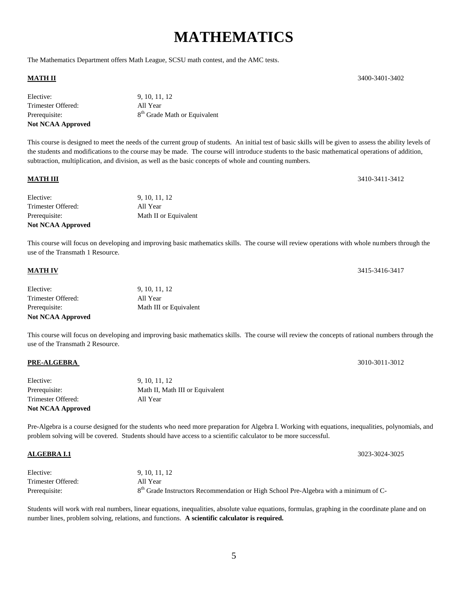# **MATHEMATICS**

The Mathematics Department offers Math League, SCSU math contest, and the AMC tests.

| Elective:                | 9, 10, 11, 12                            |
|--------------------------|------------------------------------------|
| Trimester Offered:       | All Year                                 |
| Prerequisite:            | 8 <sup>th</sup> Grade Math or Equivalent |
| <b>Not NCAA Approved</b> |                                          |

This course is designed to meet the needs of the current group of students. An initial test of basic skills will be given to assess the ability levels of the students and modifications to the course may be made. The course will introduce students to the basic mathematical operations of addition, subtraction, multiplication, and division, as well as the basic concepts of whole and counting numbers.

### **MATH III** 3410-3411-3412

| <b>Not NCAA Approved</b> |                       |
|--------------------------|-----------------------|
| Prerequisite:            | Math II or Equivalent |
| Trimester Offered:       | All Year              |
| Elective:                | 9, 10, 11, 12         |
|                          |                       |

This course will focus on developing and improving basic mathematics skills. The course will review operations with whole numbers through the use of the Transmath 1 Resource.

#### **MATH IV** 3415-3416-3417

| Elective:                | 9, 10, 11, 12          |
|--------------------------|------------------------|
| Trimester Offered:       | All Year               |
| Prerequisite:            | Math III or Equivalent |
| <b>Not NCAA Approved</b> |                        |

This course will focus on developing and improving basic mathematics skills. The course will review the concepts of rational numbers through the use of the Transmath 2 Resource.

## **PRE-ALGEBRA** 3010-3011-3012

| <b>Not NCAA Approved</b> |                                 |
|--------------------------|---------------------------------|
| Trimester Offered:       | All Year                        |
| Prerequisite:            | Math II, Math III or Equivalent |
| Elective:                | 9, 10, 11, 12                   |
|                          |                                 |

Pre-Algebra is a course designed for the students who need more preparation for Algebra I. Working with equations, inequalities, polynomials, and problem solving will be covered. Students should have access to a scientific calculator to be more successful.

| Elective:          | 9, 10, 11, 12                                                                                    |
|--------------------|--------------------------------------------------------------------------------------------------|
| Trimester Offered: | All Year                                                                                         |
| Prerequisite:      | 8 <sup>th</sup> Grade Instructors Recommendation or High School Pre-Algebra with a minimum of C- |

Students will work with real numbers, linear equations, inequalities, absolute value equations, formulas, graphing in the coordinate plane and on number lines, problem solving, relations, and functions. **A scientific calculator is required.**

**MATH II** 3400-3401-3402

**ALGEBRA I.1** 3023-3024-3025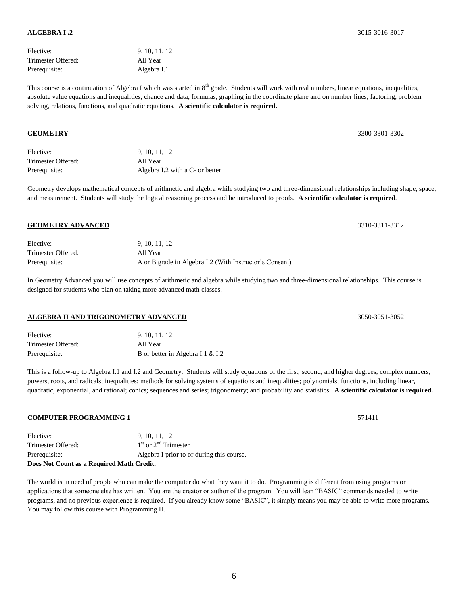# Elective: 9, 10, 11, 12 Trimester Offered: All Year Prerequisite: Algebra I.1

This course is a continuation of Algebra I which was started in 8<sup>th</sup> grade. Students will work with real numbers, linear equations, inequalities, absolute value equations and inequalities, chance and data, formulas, graphing in the coordinate plane and on number lines, factoring, problem solving, relations, functions, and quadratic equations. **A scientific calculator is required.**

| Elective:          | 9, 10, 11, 12                   |
|--------------------|---------------------------------|
| Trimester Offered: | All Year                        |
| Prerequisite:      | Algebra I.2 with a C- or better |

Geometry develops mathematical concepts of arithmetic and algebra while studying two and three-dimensional relationships including shape, space, and measurement. Students will study the logical reasoning process and be introduced to proofs. **A scientific calculator is required**.

## **GEOMETRY ADVANCED** 3310-3311-3312

| Elective:          | 9, 10, 11, 12                                           |
|--------------------|---------------------------------------------------------|
| Trimester Offered: | All Year                                                |
| Prerequisite:      | A or B grade in Algebra I.2 (With Instructor's Consent) |

In Geometry Advanced you will use concepts of arithmetic and algebra while studying two and three-dimensional relationships. This course is designed for students who plan on taking more advanced math classes.

# **ALGEBRA II AND TRIGONOMETRY ADVANCED** 3050-3051-3052

| Elective:          | 9, 10, 11, 12                    |
|--------------------|----------------------------------|
| Trimester Offered: | All Year                         |
| Prerequisite:      | B or better in Algebra I.1 & I.2 |

This is a follow-up to Algebra I.1 and I.2 and Geometry. Students will study equations of the first, second, and higher degrees; complex numbers; powers, roots, and radicals; inequalities; methods for solving systems of equations and inequalities; polynomials; functions, including linear, quadratic, exponential, and rational; conics; sequences and series; trigonometry; and probability and statistics. **A scientific calculator is required.**

## **COMPUTER PROGRAMMING 1** 571411

| Elective:                                 | 9, 10, 11, 12                             |
|-------------------------------------------|-------------------------------------------|
| Trimester Offered:                        | $1st$ or $2nd$ Trimester                  |
| Prerequisite:                             | Algebra I prior to or during this course. |
| Does Not Count as a Required Math Credit. |                                           |

The world is in need of people who can make the computer do what they want it to do. Programming is different from using programs or applications that someone else has written. You are the creator or author of the program. You will lean "BASIC" commands needed to write programs, and no previous experience is required. If you already know some "BASIC", it simply means you may be able to write more programs. You may follow this course with Programming II.

#### **ALGEBRA I .2** 3015-3016-3017

**GEOMETRY** 3300-3301-3302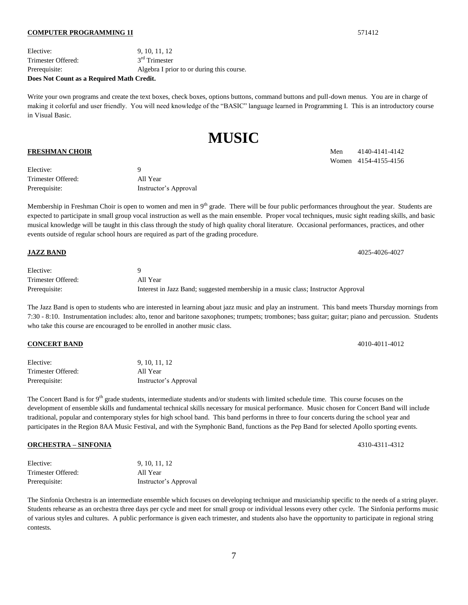#### **COMPUTER PROGRAMMING 1I** 571412

Elective: 9, 10, 11, 12 Trimester Offered: 3  $3<sup>rd</sup>$  Trimester Prerequisite: Algebra I prior to or during this course. **Does Not Count as a Required Math Credit.**

Write your own programs and create the text boxes, check boxes, options buttons, command buttons and pull-down menus. You are in charge of making it colorful and user friendly. You will need knowledge of the "BASIC" language learned in Programming I. This is an introductory course in Visual Basic.

**MUSIC**

| Elective:          |                       |
|--------------------|-----------------------|
| Trimester Offered: | All Year              |
| Prerequisite:      | Instructor's Approval |

Membership in Freshman Choir is open to women and men in 9<sup>th</sup> grade. There will be four public performances throughout the year. Students are expected to participate in small group vocal instruction as well as the main ensemble. Proper vocal techniques, music sight reading skills, and basic musical knowledge will be taught in this class through the study of high quality choral literature. Occasional performances, practices, and other events outside of regular school hours are required as part of the grading procedure.

Elective: 9 Trimester Offered: All Year Prerequisite: Interest in Jazz Band; suggested membership in a music class; Instructor Approval

**JAZZ BAND** 4025-4026-4027

The Jazz Band is open to students who are interested in learning about jazz music and play an instrument. This band meets Thursday mornings from 7:30 - 8:10. Instrumentation includes: alto, tenor and baritone saxophones; trumpets; trombones; bass guitar; guitar; piano and percussion. Students who take this course are encouraged to be enrolled in another music class.

| Elective:          | 9, 10, 11, 12         |
|--------------------|-----------------------|
| Trimester Offered: | All Year              |
| Prerequisite:      | Instructor's Approval |

The Concert Band is for 9<sup>th</sup> grade students, intermediate students and/or students with limited schedule time. This course focuses on the development of ensemble skills and fundamental technical skills necessary for musical performance. Music chosen for Concert Band will include traditional, popular and contemporary styles for high school band. This band performs in three to four concerts during the school year and participates in the Region 8AA Music Festival, and with the Symphonic Band, functions as the Pep Band for selected Apollo sporting events.

### **ORCHESTRA – SINFONIA** 4310-4311-4312

| Elective:          | 9, 10, 11, 12         |
|--------------------|-----------------------|
| Trimester Offered: | All Year              |
| Prerequisite:      | Instructor's Approval |

The Sinfonia Orchestra is an intermediate ensemble which focuses on developing technique and musicianship specific to the needs of a string player. Students rehearse as an orchestra three days per cycle and meet for small group or individual lessons every other cycle. The Sinfonia performs music of various styles and cultures. A public performance is given each trimester, and students also have the opportunity to participate in regional string contests.

**FRESHMAN CHOIR** Men 4140-4141-4142 Women 4154-4155-4156

**CONCERT BAND** 4010-4011-4012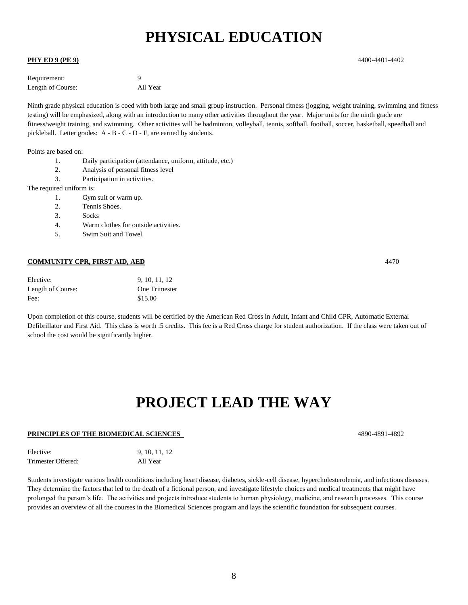# **PHYSICAL EDUCATION**

## **PHY ED 9 (PE 9)** 4400-4401-4402

| Requirement:      |          |
|-------------------|----------|
| Length of Course: | All Year |

Ninth grade physical education is coed with both large and small group instruction. Personal fitness (jogging, weight training, swimming and fitness testing) will be emphasized, along with an introduction to many other activities throughout the year. Major units for the ninth grade are fitness/weight training, and swimming. Other activities will be badminton, volleyball, tennis, softball, football, soccer, basketball, speedball and pickleball. Letter grades: A - B - C - D - F, are earned by students.

Points are based on:

- 1. Daily participation (attendance, uniform, attitude, etc.)
- 2. Analysis of personal fitness level
- 3. Participation in activities.

The required uniform is:

- 1. Gym suit or warm up.
- 2. Tennis Shoes.
- 3. Socks
- 4. Warm clothes for outside activities.
- 5. Swim Suit and Towel.

### **COMMUNITY CPR, FIRST AID, AED** 4470

| Elective:         | 9, 10, 11, 12 |
|-------------------|---------------|
| Length of Course: | One Trimester |
| Fee:              | \$15.00       |

Upon completion of this course, students will be certified by the American Red Cross in Adult, Infant and Child CPR, Automatic External Defibrillator and First Aid. This class is worth .5 credits. This fee is a Red Cross charge for student authorization. If the class were taken out of school the cost would be significantly higher.

# **PROJECT LEAD THE WAY**

### **PRINCIPLES OF THE BIOMEDICAL SCIENCES** 4890-4891-4892

| Elective:          | 9, 10, 11, 12 |
|--------------------|---------------|
| Trimester Offered: | All Year      |

Students investigate various health conditions including heart disease, diabetes, sickle-cell disease, hypercholesterolemia, and infectious diseases. They determine the factors that led to the death of a fictional person, and investigate lifestyle choices and medical treatments that might have prolonged the person's life. The activities and projects introduce students to human physiology, medicine, and research processes. This course provides an overview of all the courses in the Biomedical Sciences program and lays the scientific foundation for subsequent courses.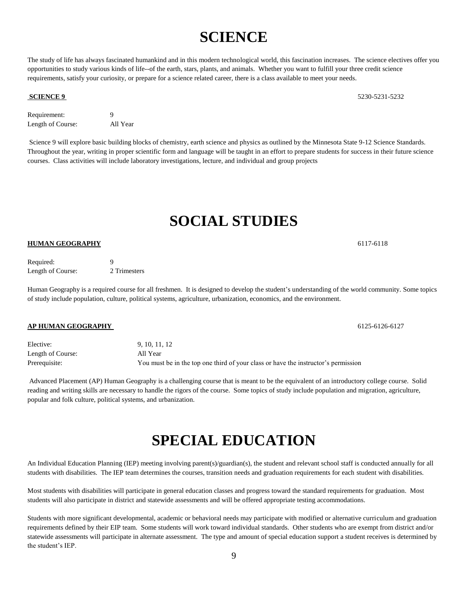# **SCIENCE**

The study of life has always fascinated humankind and in this modern technological world, this fascination increases. The science electives offer you opportunities to study various kinds of life--of the earth, stars, plants, and animals. Whether you want to fulfill your three credit science requirements, satisfy your curiosity, or prepare for a science related career, there is a class available to meet your needs.

### **SCIENCE 9** 5230-5231-5232

Requirement: 9 Length of Course: All Year

Science 9 will explore basic building blocks of chemistry, earth science and physics as outlined by the Minnesota State 9-12 Science Standards. Throughout the year, writing in proper scientific form and language will be taught in an effort to prepare students for success in their future science courses. Class activities will include laboratory investigations, lecture, and individual and group projects

# **SOCIAL STUDIES**

## **HUMAN GEOGRAPHY** 6117-6118

| Required:         | Q            |
|-------------------|--------------|
| Length of Course: | 2 Trimesters |

Human Geography is a required course for all freshmen. It is designed to develop the student's understanding of the world community. Some topics of study include population, culture, political systems, agriculture, urbanization, economics, and the environment.

Elective: 9, 10, 11, 12 Length of Course: All Year Prerequisite: You must be in the top one third of your class or have the instructor's permission

Advanced Placement (AP) Human Geography is a challenging course that is meant to be the equivalent of an introductory college course. Solid reading and writing skills are necessary to handle the rigors of the course. Some topics of study include population and migration, agriculture, popular and folk culture, political systems, and urbanization.

# **SPECIAL EDUCATION**

An Individual Education Planning (IEP) meeting involving parent(s)/guardian(s), the student and relevant school staff is conducted annually for all students with disabilities. The IEP team determines the courses, transition needs and graduation requirements for each student with disabilities.

Most students with disabilities will participate in general education classes and progress toward the standard requirements for graduation. Most students will also participate in district and statewide assessments and will be offered appropriate testing accommodations.

Students with more significant developmental, academic or behavioral needs may participate with modified or alternative curriculum and graduation requirements defined by their EIP team. Some students will work toward individual standards. Other students who are exempt from district and/or statewide assessments will participate in alternate assessment. The type and amount of special education support a student receives is determined by the student's IEP.

**AP HUMAN GEOGRAPHY** 6125-6126-6127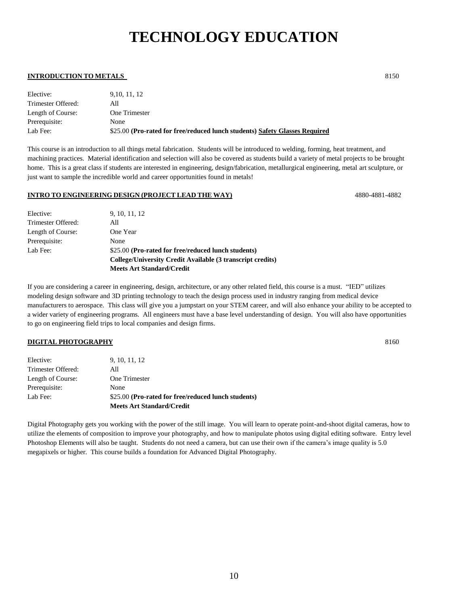# **TECHNOLOGY EDUCATION**

## **INTRODUCTION TO METALS** 8150

| Elective:          | 9.10.11.12                                                                  |
|--------------------|-----------------------------------------------------------------------------|
| Trimester Offered: | All                                                                         |
| Length of Course:  | One Trimester                                                               |
| Prerequisite:      | None                                                                        |
| Lab Fee:           | \$25.00 (Pro-rated for free/reduced lunch students) Safety Glasses Required |

This course is an introduction to all things metal fabrication. Students will be introduced to welding, forming, heat treatment, and machining practices. Material identification and selection will also be covered as students build a variety of metal projects to be brought home. This is a great class if students are interested in engineering, design/fabrication, metallurgical engineering, metal art sculpture, or just want to sample the incredible world and career opportunities found in metals!

## **INTRO TO ENGINEERING DESIGN (PROJECT LEAD THE WAY)** 4880-4881-4882

Elective: 9, 10, 11, 12 Trimester Offered: All Length of Course: One Year Prerequisite: None Lab Fee: \$25.00 **(Pro-rated for free/reduced lunch students) College/University Credit Available (3 transcript credits) Meets Art Standard/Credit**

If you are considering a career in engineering, design, architecture, or any other related field, this course is a must. "IED" utilizes modeling design software and 3D printing technology to teach the design process used in industry ranging from medical device manufacturers to aerospace. This class will give you a jumpstart on your STEM career, and will also enhance your ability to be accepted to a wider variety of engineering programs. All engineers must have a base level understanding of design. You will also have opportunities to go on engineering field trips to local companies and design firms.

## **DIGITAL PHOTOGRAPHY** 8160

|                    | <b>Meets Art Standard/Credit</b>                    |
|--------------------|-----------------------------------------------------|
| Lab Fee:           | \$25.00 (Pro-rated for free/reduced lunch students) |
| Prerequisite:      | None                                                |
| Length of Course:  | One Trimester                                       |
| Trimester Offered: | All                                                 |
| Elective:          | 9, 10, 11, 12                                       |

Digital Photography gets you working with the power of the still image. You will learn to operate point-and-shoot digital cameras, how to utilize the elements of composition to improve your photography, and how to manipulate photos using digital editing software. Entry level Photoshop Elements will also be taught. Students do not need a camera, but can use their own if the camera's image quality is 5.0 megapixels or higher. This course builds a foundation for Advanced Digital Photography.

10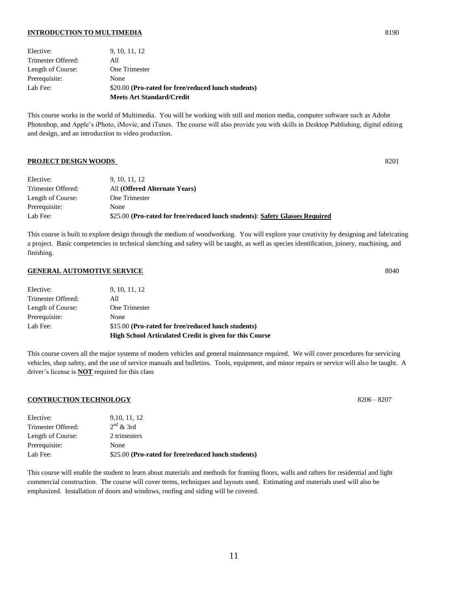#### **INTRODUCTION TO MULTIMEDIA** 8190

|                    | <b>Meets Art Standard/Credit</b>                    |
|--------------------|-----------------------------------------------------|
| Lab Fee:           | \$20.00 (Pro-rated for free/reduced lunch students) |
| Prerequisite:      | None                                                |
| Length of Course:  | One Trimester                                       |
| Trimester Offered: | All                                                 |
| Elective:          | 9, 10, 11, 12                                       |

This course works in the world of Multimedia. You will be working with still and motion media, computer software such as Adobe Photoshop, and Apple's iPhoto, iMovie, and iTunes. The course will also provide you with skills in Desktop Publishing, digital editing and design, and an introduction to video production.

#### **PROJECT DESIGN WOODS** 8201

| Elective:          | 9, 10, 11, 12                                                                |
|--------------------|------------------------------------------------------------------------------|
| Trimester Offered: | All (Offered Alternate Years)                                                |
| Length of Course:  | One Trimester                                                                |
| Prerequisite:      | None                                                                         |
| Lab Fee:           | \$25.00 (Pro-rated for free/reduced lunch students): Safety Glasses Required |

This course is built to explore design through the medium of woodworking. You will explore your creativity by designing and fabricating a project. Basic competencies in technical sketching and safety will be taught, as well as species identification, joinery, machining, and finishing.

## **GENERAL AUTOMOTIVE SERVICE** 8040

|                    | <b>High School Articulated Credit is given for this Course</b> |
|--------------------|----------------------------------------------------------------|
| Lab Fee:           | \$15.00 (Pro-rated for free/reduced lunch students)            |
| Prerequisite:      | None                                                           |
| Length of Course:  | One Trimester                                                  |
| Trimester Offered: | All                                                            |
| Elective:          | 9, 10, 11, 12                                                  |

This course covers all the major systems of modern vehicles and general maintenance required. We will cover procedures for servicing vehicles, shop safety, and the use of service manuals and bulletins. Tools, equipment, and minor repairs or service will also be taught. A driver's license is **NOT** required for this class

### **CONTRUCTION TECHNOLOGY** 8206 – 8207

| Elective:          | 9, 10, 11, 12                                       |
|--------------------|-----------------------------------------------------|
| Trimester Offered: | $2nd$ & 3rd                                         |
| Length of Course:  | 2 trimesters                                        |
| Prerequisite:      | None                                                |
| Lab Fee:           | \$25.00 (Pro-rated for free/reduced lunch students) |

This course will enable the student to learn about materials and methods for framing floors, walls and rafters for residential and light commercial construction. The course will cover terms, techniques and layouts used. Estimating and materials used will also be emphasized. Installation of doors and windows, roofing and siding will be covered.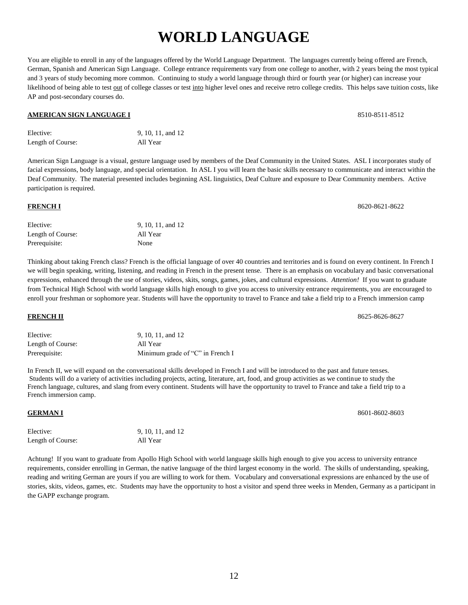# **WORLD LANGUAGE**

You are eligible to enroll in any of the languages offered by the World Language Department. The languages currently being offered are French, German, Spanish and American Sign Language. College entrance requirements vary from one college to another, with 2 years being the most typical and 3 years of study becoming more common. Continuing to study a world language through third or fourth year (or higher) can increase your likelihood of being able to test out of college classes or test into higher level ones and receive retro college credits. This helps save tuition costs, like AP and post-secondary courses do.

## **AMERICAN SIGN LANGUAGE I** 8510-8511-8512

| Elective:         | 9, 10, 11, and 12 |
|-------------------|-------------------|
| Length of Course: | All Year          |

American Sign Language is a visual, gesture language used by members of the Deaf Community in the United States. ASL I incorporates study of facial expressions, body language, and special orientation. In ASL I you will learn the basic skills necessary to communicate and interact within the Deaf Community. The material presented includes beginning ASL linguistics, Deaf Culture and exposure to Dear Community members. Active participation is required.

| Elective:         | 9, 10, 11, and 12 |
|-------------------|-------------------|
| Length of Course: | All Year          |
| Prerequisite:     | None              |

Thinking about taking French class? French is the official language of over 40 countries and territories and is found on every continent. In French I we will begin speaking, writing, listening, and reading in French in the present tense. There is an emphasis on vocabulary and basic conversational expressions, enhanced through the use of stories, videos, skits, songs, games, jokes, and cultural expressions. *Attention!* If you want to graduate from Technical High School with world language skills high enough to give you access to university entrance requirements, you are encouraged to enroll your freshman or sophomore year. Students will have the opportunity to travel to France and take a field trip to a French immersion camp

| Elective:         | 9, 10, 11, and 12                |
|-------------------|----------------------------------|
| Length of Course: | All Year                         |
| Prerequisite:     | Minimum grade of "C" in French I |

In French II, we will expand on the conversational skills developed in French I and will be introduced to the past and future tenses. Students will do a variety of activities including projects, acting, literature, art, food, and group activities as we continue to study the French language, cultures, and slang from every continent. Students will have the opportunity to travel to France and take a field trip to a French immersion camp.

# **GERMAN I** 8601-8602-8603

| Elective:         | 9, 10, 11, and 12 |
|-------------------|-------------------|
| Length of Course: | All Year          |

Achtung! If you want to graduate from Apollo High School with world language skills high enough to give you access to university entrance requirements, consider enrolling in German, the native language of the third largest economy in the world. The skills of understanding, speaking, reading and writing German are yours if you are willing to work for them. Vocabulary and conversational expressions are enhanced by the use of stories, skits, videos, games, etc. Students may have the opportunity to host a visitor and spend three weeks in Menden, Germany as a participant in the GAPP exchange program.

**FRENCH II** 8625-8626-8627

**FRENCH I** 8620-8621-8622